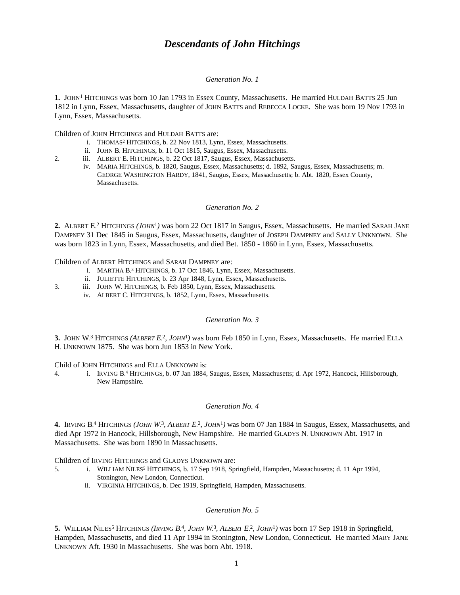# *Descendants of John Hitchings*

#### *Generation No. 1*

1. JOHN<sup>1</sup> HITCHINGS was born 10 Jan 1793 in Essex County, Massachusetts. He married HULDAH BATTS 25 Jun 1812 in Lynn, Essex, Massachusetts, daughter of JOHN BATTS and REBECCA LOCKE. She was born 19 Nov 1793 in Lynn, Essex, Massachusetts.

Children of JOHN HITCHINGS and HULDAH BATTS are:

- i. THOMAS<sup>2</sup> HITCHINGS, b. 22 Nov 1813, Lynn, Essex, Massachusetts.
- ii. JOHN B. HITCHINGS, b. 11 Oct 1815, Saugus, Essex, Massachusetts.
- 2. iii. ALBERT E. HITCHINGS, b. 22 Oct 1817, Saugus, Essex, Massachusetts.
	- iv. MARIA HITCHINGS, b. 1820, Saugus, Essex, Massachusetts; d. 1892, Saugus, Essex, Massachusetts; m. GEORGE WASHINGTON HARDY, 1841, Saugus, Essex, Massachusetts; b. Abt. 1820, Essex County, Massachusetts.

#### *Generation No. 2*

2. ALBERT E.<sup>2</sup> HITCHINGS (*JOHN*<sup>1</sup>) was born 22 Oct 1817 in Saugus, Essex, Massachusetts. He married SARAH JANE DAMPNEY 31 Dec 1845 in Saugus, Essex, Massachusetts, daughter of JOSEPH DAMPNEY and SALLY UNKNOWN. She was born 1823 in Lynn, Essex, Massachusetts, and died Bet. 1850 - 1860 in Lynn, Essex, Massachusetts.

#### Children of ALBERT HITCHINGS and SARAH DAMPNEY are:

- i. MARTHA B.<sup>3</sup> HITCHINGS, b. 17 Oct 1846, Lynn, Essex, Massachusetts.
- ii. JULIETTE HITCHINGS, b. 23 Apr 1848, Lynn, Essex, Massachusetts.
- 3. iii. JOHN W. HITCHINGS, b. Feb 1850, Lynn, Essex, Massachusetts.
	- iv. ALBERT C. HITCHINGS, b. 1852, Lynn, Essex, Massachusetts.

## *Generation No. 3*

**3.** JOHN W. 3 HITCHINGS *(ALBERT E.* 2 *, JOHN*<sup>1</sup> *)* was born Feb 1850 in Lynn, Essex, Massachusetts. He married ELLA H. UNKNOWN 1875. She was born Jun 1853 in New York.

Child of JOHN HITCHINGS and ELLA UNKNOWN is:

4. i. IRVING B. 4 HITCHINGS, b. 07 Jan 1884, Saugus, Essex, Massachusetts; d. Apr 1972, Hancock, Hillsborough, New Hampshire.

## *Generation No. 4*

4. IRVING B.<sup>4</sup> HITCHINGS (*JOHN W*.<sup>3</sup>, ALBERT E.<sup>2</sup>, JOHN<sup>1</sup>) was born 07 Jan 1884 in Saugus, Essex, Massachusetts, and died Apr 1972 in Hancock, Hillsborough, New Hampshire. He married GLADYS N. UNKNOWN Abt. 1917 in Massachusetts. She was born 1890 in Massachusetts.

Children of IRVING HITCHINGS and GLADYS UNKNOWN are:

- 5. i. WILLIAM NILES<sup>5</sup> HITCHINGS, b. 17 Sep 1918, Springfield, Hampden, Massachusetts; d. 11 Apr 1994, Stonington, New London, Connecticut.
	- ii. VIRGINIA HITCHINGS, b. Dec 1919, Springfield, Hampden, Massachusetts.

## *Generation No. 5*

5. WILLIAM NILES<sup>5</sup> HITCHINGS (IRVING B.<sup>4</sup>, JOHN W.<sup>3</sup>, ALBERT E.<sup>2</sup>, JOHN<sup>1</sup>) was born 17 Sep 1918 in Springfield, Hampden, Massachusetts, and died 11 Apr 1994 in Stonington, New London, Connecticut. He married MARY JANE UNKNOWN Aft. 1930 in Massachusetts. She was born Abt. 1918.